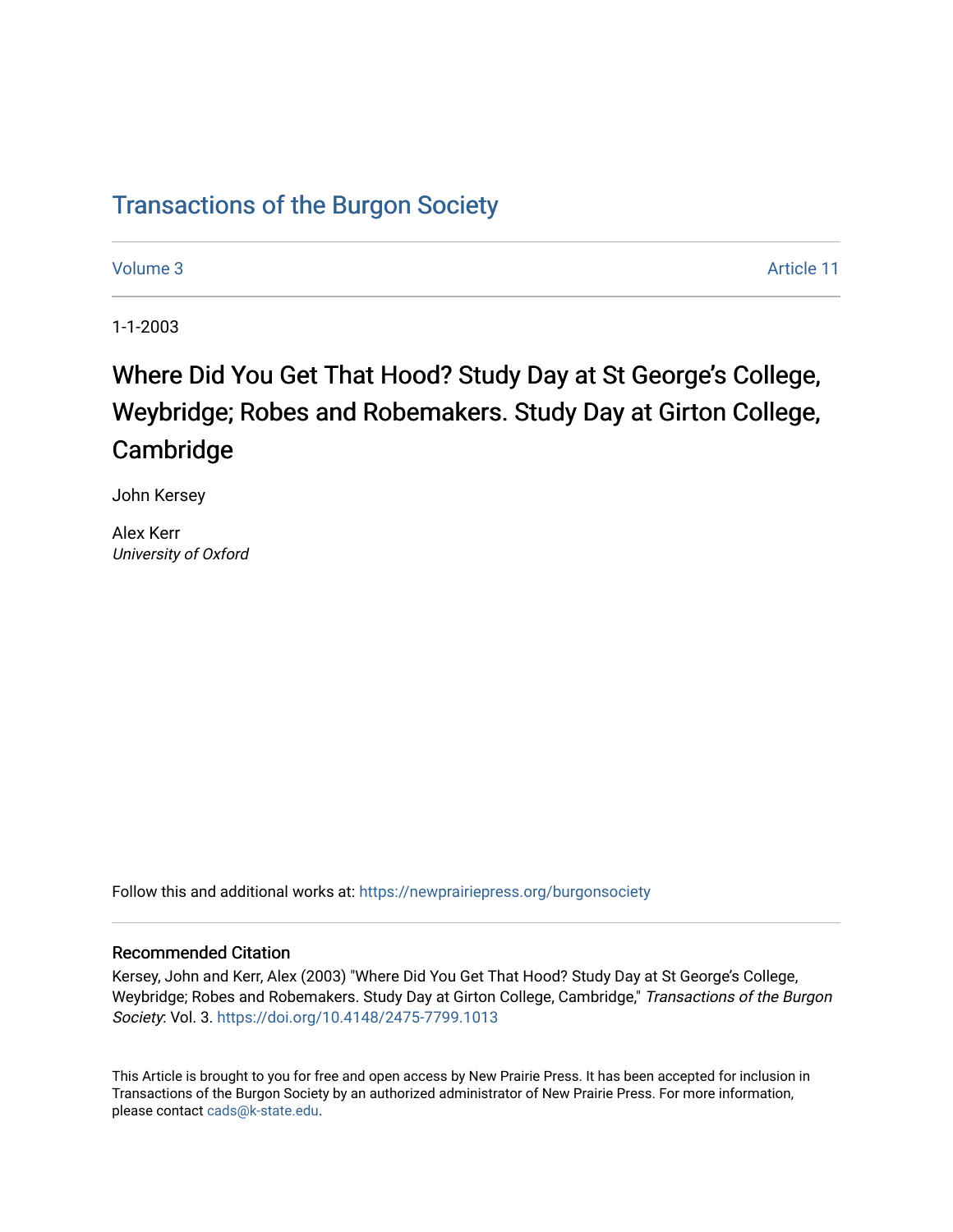## [Transactions of the Burgon Society](https://newprairiepress.org/burgonsociety)

[Volume 3](https://newprairiepress.org/burgonsociety/vol3) Article 11

1-1-2003

# Where Did You Get That Hood? Study Day at St George's College, Weybridge; Robes and Robemakers. Study Day at Girton College, Cambridge

John Kersey

Alex Kerr University of Oxford

Follow this and additional works at: [https://newprairiepress.org/burgonsociety](https://newprairiepress.org/burgonsociety?utm_source=newprairiepress.org%2Fburgonsociety%2Fvol3%2Fiss1%2F11&utm_medium=PDF&utm_campaign=PDFCoverPages)

#### Recommended Citation

Kersey, John and Kerr, Alex (2003) "Where Did You Get That Hood? Study Day at St George's College, Weybridge; Robes and Robemakers. Study Day at Girton College, Cambridge," Transactions of the Burgon Society: Vol. 3. [https://doi.org/10.4148/2475-7799.1013](https://dx.doi.org/10.4148/2475-7799.1013)

This Article is brought to you for free and open access by New Prairie Press. It has been accepted for inclusion in Transactions of the Burgon Society by an authorized administrator of New Prairie Press. For more information, please contact [cads@k-state.edu.](mailto:cads@k-state.edu)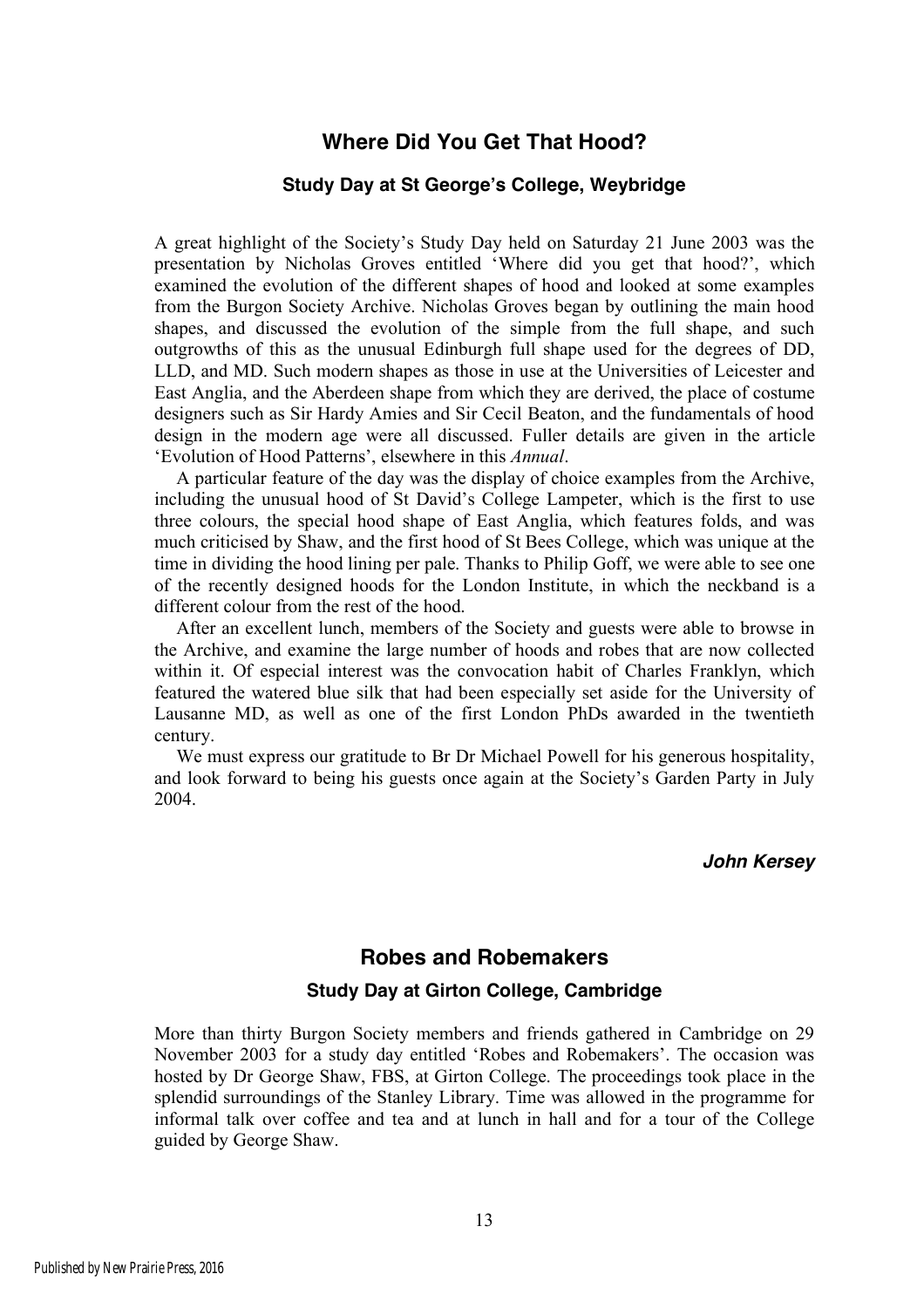### **Where Did You Get That Hood?**

#### **Study Day at St George's College, Weybridge**

A great highlight of the Society's Study Day held on Saturday 21 June 2003 was the presentation by Nicholas Groves entitled 'Where did you get that hood?', which examined the evolution of the different shapes of hood and looked at some examples from the Burgon Society Archive. Nicholas Groves began by outlining the main hood shapes, and discussed the evolution of the simple from the full shape, and such outgrowths of this as the unusual Edinburgh full shape used for the degrees of DD, LLD, and MD. Such modern shapes as those in use at the Universities of Leicester and East Anglia, and the Aberdeen shape from which they are derived, the place of costume designers such as Sir Hardy Amies and Sir Cecil Beaton, and the fundamentals of hood design in the modern age were all discussed. Fuller details are given in the article 'Evolution of Hood Patterns', elsewhere in this *Annual*.

A particular feature of the day was the display of choice examples from the Archive, including the unusual hood of St David's College Lampeter, which is the first to use three colours, the special hood shape of East Anglia, which features folds, and was much criticised by Shaw, and the first hood of St Bees College, which was unique at the time in dividing the hood lining per pale. Thanks to Philip Goff, we were able to see one of the recently designed hoods for the London Institute, in which the neckband is a different colour from the rest of the hood.

After an excellent lunch, members of the Society and guests were able to browse in the Archive, and examine the large number of hoods and robes that are now collected within it. Of especial interest was the convocation habit of Charles Franklyn, which featured the watered blue silk that had been especially set aside for the University of Lausanne MD, as well as one of the first London PhDs awarded in the twentieth century.

We must express our gratitude to Br Dr Michael Powell for his generous hospitality, and look forward to being his guests once again at the Society's Garden Party in July 2004.

*John Kersey*

#### **Robes and Robemakers**

#### **Study Day at Girton College, Cambridge**

More than thirty Burgon Society members and friends gathered in Cambridge on 29 November 2003 for a study day entitled 'Robes and Robemakers'. The occasion was hosted by Dr George Shaw, FBS, at Girton College. The proceedings took place in the splendid surroundings of the Stanley Library. Time was allowed in the programme for informal talk over coffee and tea and at lunch in hall and for a tour of the College guided by George Shaw.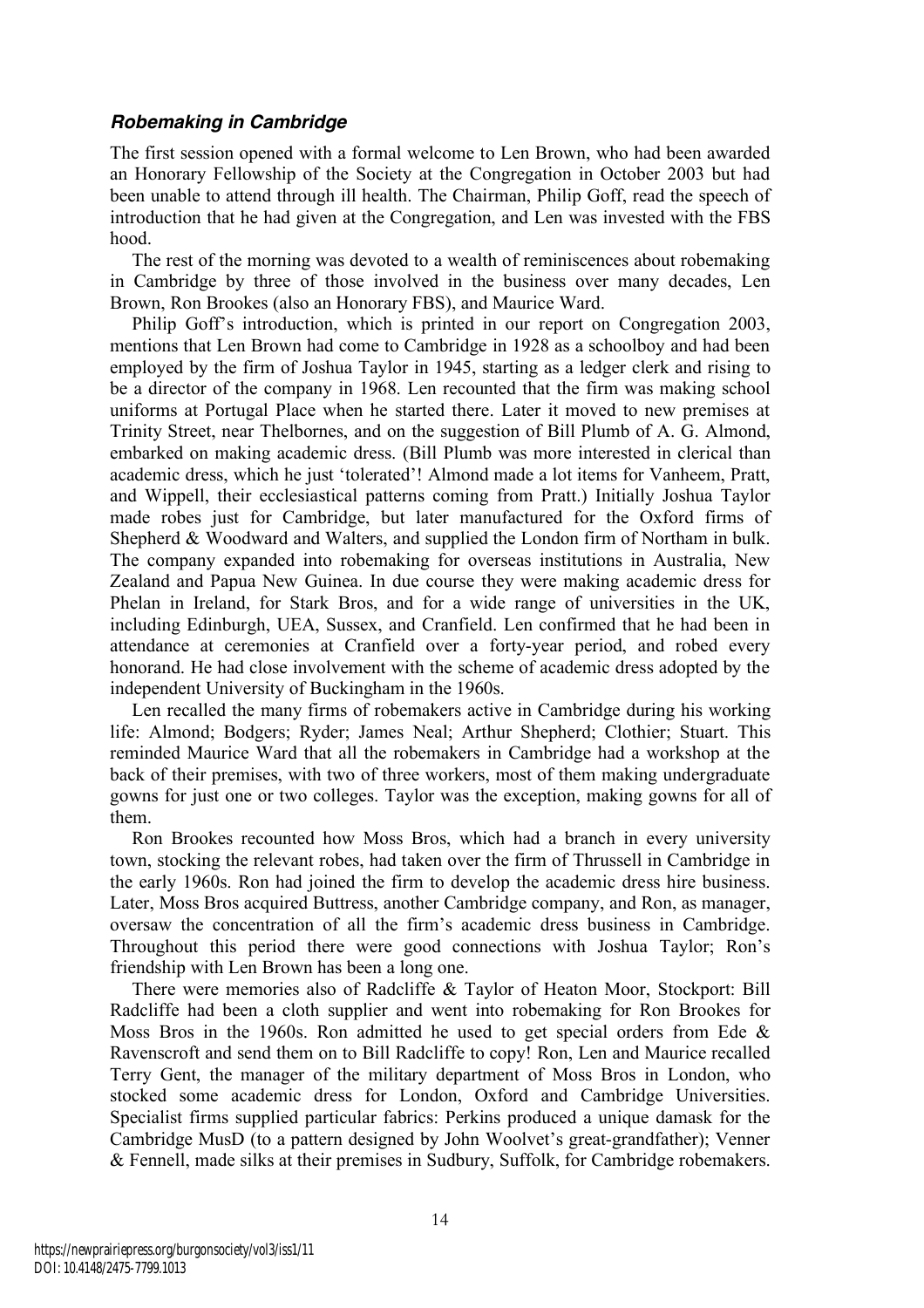#### *Robemaking in Cambridge*

The first session opened with a formal welcome to Len Brown, who had been awarded an Honorary Fellowship of the Society at the Congregation in October 2003 but had been unable to attend through ill health. The Chairman, Philip Goff, read the speech of introduction that he had given at the Congregation, and Len was invested with the FBS hood.

The rest of the morning was devoted to a wealth of reminiscences about robemaking in Cambridge by three of those involved in the business over many decades, Len Brown, Ron Brookes (also an Honorary FBS), and Maurice Ward.

Philip Goff's introduction, which is printed in our report on Congregation 2003, mentions that Len Brown had come to Cambridge in 1928 as a schoolboy and had been employed by the firm of Joshua Taylor in 1945, starting as a ledger clerk and rising to be a director of the company in 1968. Len recounted that the firm was making school uniforms at Portugal Place when he started there. Later it moved to new premises at Trinity Street, near Thelbornes, and on the suggestion of Bill Plumb of A. G. Almond, embarked on making academic dress. (Bill Plumb was more interested in clerical than academic dress, which he just 'tolerated'! Almond made a lot items for Vanheem, Pratt, and Wippell, their ecclesiastical patterns coming from Pratt.) Initially Joshua Taylor made robes just for Cambridge, but later manufactured for the Oxford firms of Shepherd & Woodward and Walters, and supplied the London firm of Northam in bulk. The company expanded into robemaking for overseas institutions in Australia, New Zealand and Papua New Guinea. In due course they were making academic dress for Phelan in Ireland, for Stark Bros, and for a wide range of universities in the UK, including Edinburgh, UEA, Sussex, and Cranfield. Len confirmed that he had been in attendance at ceremonies at Cranfield over a forty-year period, and robed every honorand. He had close involvement with the scheme of academic dress adopted by the independent University of Buckingham in the 1960s.

Len recalled the many firms of robemakers active in Cambridge during his working life: Almond; Bodgers; Ryder; James Neal; Arthur Shepherd; Clothier; Stuart. This reminded Maurice Ward that all the robemakers in Cambridge had a workshop at the back of their premises, with two of three workers, most of them making undergraduate gowns for just one or two colleges. Taylor was the exception, making gowns for all of them.

Ron Brookes recounted how Moss Bros, which had a branch in every university town, stocking the relevant robes, had taken over the firm of Thrussell in Cambridge in the early 1960s. Ron had joined the firm to develop the academic dress hire business. Later, Moss Bros acquired Buttress, another Cambridge company, and Ron, as manager, oversaw the concentration of all the firm's academic dress business in Cambridge. Throughout this period there were good connections with Joshua Taylor; Ron's friendship with Len Brown has been a long one.

There were memories also of Radcliffe & Taylor of Heaton Moor, Stockport: Bill Radcliffe had been a cloth supplier and went into robemaking for Ron Brookes for Moss Bros in the 1960s. Ron admitted he used to get special orders from Ede  $\&$ Ravenscroft and send them on to Bill Radcliffe to copy! Ron, Len and Maurice recalled Terry Gent, the manager of the military department of Moss Bros in London, who stocked some academic dress for London, Oxford and Cambridge Universities. Specialist firms supplied particular fabrics: Perkins produced a unique damask for the Cambridge MusD (to a pattern designed by John Woolvet's great-grandfather); Venner & Fennell, made silks at their premises in Sudbury, Suffolk, for Cambridge robemakers.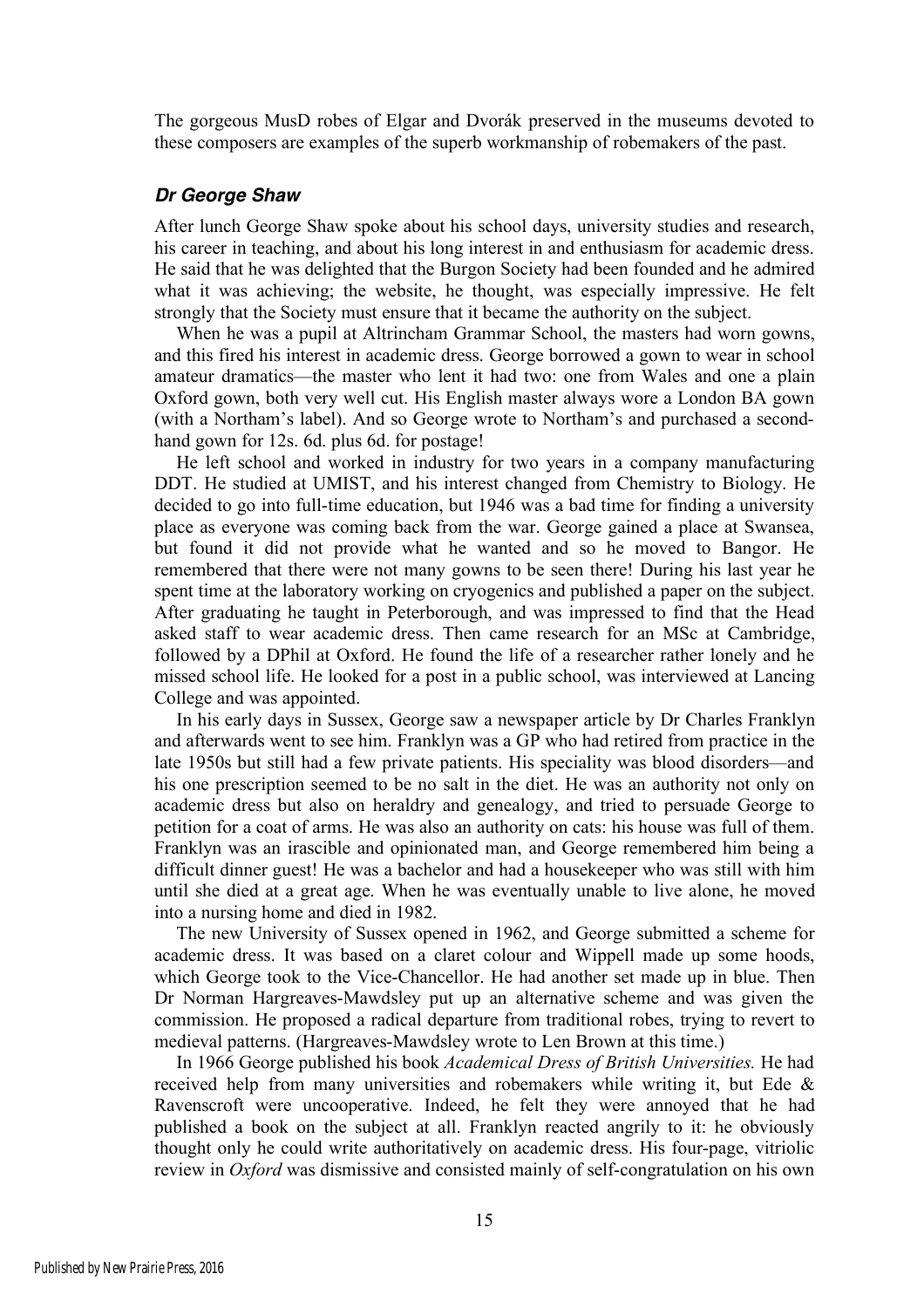The gorgeous MusD robes of Elgar and Dvorák preserved in the museums devoted to these composers are examples of the superb workmanship of robemakers of the past.

#### *Dr George Shaw*

After lunch George Shaw spoke about his school days, university studies and research, his career in teaching, and about his long interest in and enthusiasm for academic dress. He said that he was delighted that the Burgon Society had been founded and he admired what it was achieving; the website, he thought, was especially impressive. He felt strongly that the Society must ensure that it became the authority on the subject.

When he was a pupil at Altrincham Grammar School, the masters had worn gowns, and this fired his interest in academic dress. George borrowed a gown to wear in school amateur dramatics—the master who lent it had two: one from Wales and one a plain Oxford gown, both very well cut. His English master always wore a London BA gown (with a Northam's label). And so George wrote to Northam's and purchased a secondhand gown for 12s. 6d. plus 6d. for postage!

He left school and worked in industry for two years in a company manufacturing DDT. He studied at UMIST, and his interest changed from Chemistry to Biology. He decided to go into full-time education, but 1946 was a bad time for finding a university place as everyone was coming back from the war. George gained a place at Swansea, but found it did not provide what he wanted and so he moved to Bangor. He remembered that there were not many gowns to be seen there! During his last year he spent time at the laboratory working on cryogenics and published a paper on the subject. After graduating he taught in Peterborough, and was impressed to find that the Head asked staff to wear academic dress. Then came research for an MSc at Cambridge, followed by a DPhil at Oxford. He found the life of a researcher rather lonely and he missed school life. He looked for a post in a public school, was interviewed at Lancing College and was appointed.

In his early days in Sussex, George saw a newspaper article by Dr Charles Franklyn and afterwards went to see him. Franklyn was a GP who had retired from practice in the late 1950s but still had a few private patients. His speciality was blood disorders—and his one prescription seemed to be no salt in the diet. He was an authority not only on academic dress but also on heraldry and genealogy, and tried to persuade George to petition for a coat of arms. He was also an authority on cats: his house was full of them. Franklyn was an irascible and opinionated man, and George remembered him being a difficult dinner guest! He was a bachelor and had a housekeeper who was still with him until she died at a great age. When he was eventually unable to live alone, he moved into a nursing home and died in 1982.

The new University of Sussex opened in 1962, and George submitted a scheme for academic dress. It was based on a claret colour and Wippell made up some hoods, which George took to the Vice-Chancellor. He had another set made up in blue. Then Dr Norman Hargreaves-Mawdsley put up an alternative scheme and was given the commission. He proposed a radical departure from traditional robes, trying to revert to medieval patterns. (Hargreaves-Mawdsley wrote to Len Brown at this time.)

In 1966 George published his book *Academical Dress of British Universities.* He had received help from many universities and robemakers while writing it, but Ede & Ravenscroft were uncooperative. Indeed, he felt they were annoyed that he had published a book on the subject at all. Franklyn reacted angrily to it: he obviously thought only he could write authoritatively on academic dress. His four-page, vitriolic review in *Oxford* was dismissive and consisted mainly of self-congratulation on his own